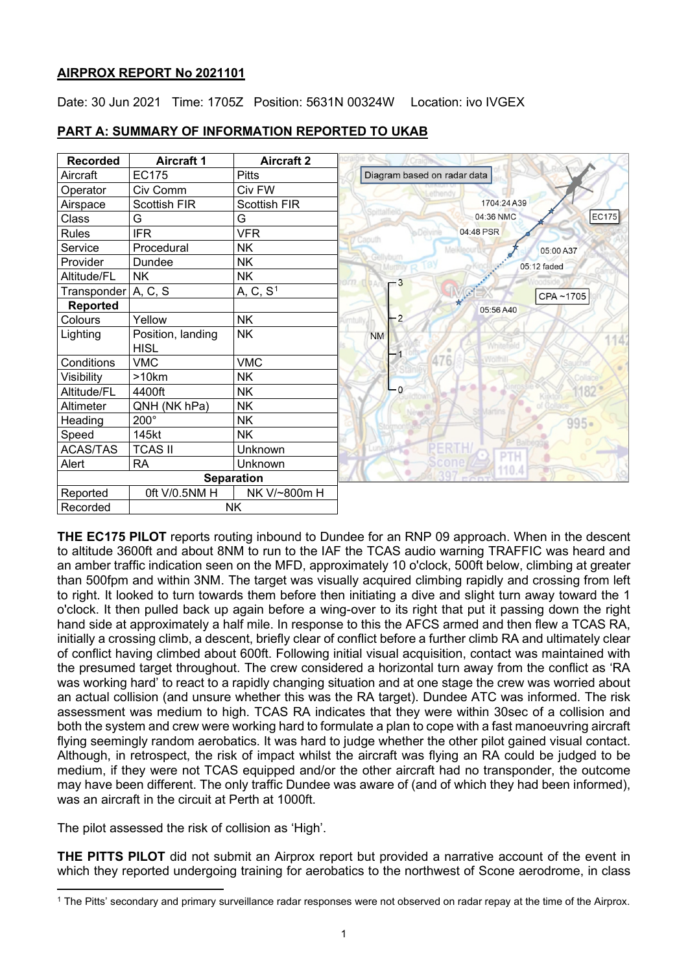# **AIRPROX REPORT No 2021101**

Date: 30 Jun 2021 Time: 1705Z Position: 5631N 00324W Location: ivo IVGEX

| <b>Recorded</b>   | <b>Aircraft 1</b>                | <b>Aircraft 2</b>    |                               |
|-------------------|----------------------------------|----------------------|-------------------------------|
| Aircraft          | <b>EC175</b>                     | <b>Pitts</b>         | Diagram based on radar data   |
| Operator          | Civ Comm                         | Civ FW               |                               |
| Airspace          | <b>Scottish FIR</b>              | <b>Scottish FIR</b>  | 1704:24 A39                   |
| Class             | G                                | G                    | EC175<br>04:36 NMC            |
| <b>Rules</b>      | <b>IFR</b>                       | <b>VFR</b>           | 04:48 PSR<br>Delvine          |
| Service           | Procedural                       | <b>NK</b>            | 05:00 A37<br>Meikleour        |
| Provider          | Dundee                           | <b>NK</b>            | 05:12 faded                   |
| Altitude/FL       | <b>NK</b>                        | <b>NK</b>            | orn deAr<br>$\mathsf{r}^{-3}$ |
| Transponder       | A, C, S                          | A, C, S <sup>1</sup> | CPA~1705                      |
| <b>Reported</b>   |                                  |                      | 05:56 A40                     |
| Colours           | Yellow                           | <b>NK</b>            | $-2$<br>mtully,               |
| Lighting          | Position, landing<br><b>HISL</b> | <b>NK</b>            | <b>NM</b>                     |
| Conditions        | <b>VMC</b>                       | <b>VMC</b>           | <b>HI KWO</b>                 |
| Visibility        | >10km                            | <b>NK</b>            |                               |
| Altitude/FL       | 4400ft                           | <b>NK</b>            | $L_0$<br>182                  |
| Altimeter         | QNH (NK hPa)                     | <b>NK</b>            |                               |
| Heading           | 200°                             | <b>NK</b>            | $995 -$                       |
| Speed             | 145kt                            | <b>NK</b>            |                               |
| <b>ACAS/TAS</b>   | <b>TCAS II</b>                   | Unknown              |                               |
| Alert             | <b>RA</b>                        | Unknown              | 10.4                          |
| <b>Separation</b> |                                  |                      |                               |
| Reported          | 0ft V/0.5NM H                    | NK V/~800m H         |                               |
| Recorded          |                                  | <b>NK</b>            |                               |

# **PART A: SUMMARY OF INFORMATION REPORTED TO UKAB**

**THE EC175 PILOT** reports routing inbound to Dundee for an RNP 09 approach. When in the descent to altitude 3600ft and about 8NM to run to the IAF the TCAS audio warning TRAFFIC was heard and an amber traffic indication seen on the MFD, approximately 10 o'clock, 500ft below, climbing at greater than 500fpm and within 3NM. The target was visually acquired climbing rapidly and crossing from left to right. It looked to turn towards them before then initiating a dive and slight turn away toward the 1 o'clock. It then pulled back up again before a wing-over to its right that put it passing down the right hand side at approximately a half mile. In response to this the AFCS armed and then flew a TCAS RA, initially a crossing climb, a descent, briefly clear of conflict before a further climb RA and ultimately clear of conflict having climbed about 600ft. Following initial visual acquisition, contact was maintained with the presumed target throughout. The crew considered a horizontal turn away from the conflict as 'RA was working hard' to react to a rapidly changing situation and at one stage the crew was worried about an actual collision (and unsure whether this was the RA target). Dundee ATC was informed. The risk assessment was medium to high. TCAS RA indicates that they were within 30sec of a collision and both the system and crew were working hard to formulate a plan to cope with a fast manoeuvring aircraft flying seemingly random aerobatics. It was hard to judge whether the other pilot gained visual contact. Although, in retrospect, the risk of impact whilst the aircraft was flying an RA could be judged to be medium, if they were not TCAS equipped and/or the other aircraft had no transponder, the outcome may have been different. The only traffic Dundee was aware of (and of which they had been informed), was an aircraft in the circuit at Perth at 1000ft.

The pilot assessed the risk of collision as 'High'.

**THE PITTS PILOT** did not submit an Airprox report but provided a narrative account of the event in which they reported undergoing training for aerobatics to the northwest of Scone aerodrome, in class

<span id="page-0-0"></span><sup>1</sup> The Pitts' secondary and primary surveillance radar responses were not observed on radar repay at the time of the Airprox.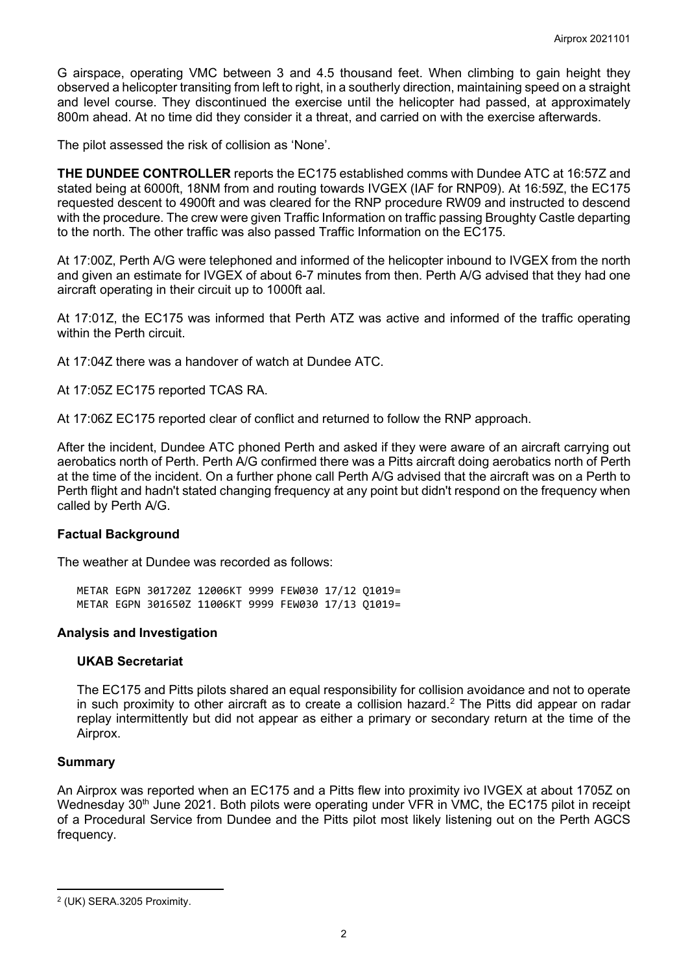G airspace, operating VMC between 3 and 4.5 thousand feet. When climbing to gain height they observed a helicopter transiting from left to right, in a southerly direction, maintaining speed on a straight and level course. They discontinued the exercise until the helicopter had passed, at approximately 800m ahead. At no time did they consider it a threat, and carried on with the exercise afterwards.

The pilot assessed the risk of collision as 'None'.

**THE DUNDEE CONTROLLER** reports the EC175 established comms with Dundee ATC at 16:57Z and stated being at 6000ft, 18NM from and routing towards IVGEX (IAF for RNP09). At 16:59Z, the EC175 requested descent to 4900ft and was cleared for the RNP procedure RW09 and instructed to descend with the procedure. The crew were given Traffic Information on traffic passing Broughty Castle departing to the north. The other traffic was also passed Traffic Information on the EC175.

At 17:00Z, Perth A/G were telephoned and informed of the helicopter inbound to IVGEX from the north and given an estimate for IVGEX of about 6-7 minutes from then. Perth A/G advised that they had one aircraft operating in their circuit up to 1000ft aal.

At 17:01Z, the EC175 was informed that Perth ATZ was active and informed of the traffic operating within the Perth circuit.

At 17:04Z there was a handover of watch at Dundee ATC.

At 17:05Z EC175 reported TCAS RA.

At 17:06Z EC175 reported clear of conflict and returned to follow the RNP approach.

After the incident, Dundee ATC phoned Perth and asked if they were aware of an aircraft carrying out aerobatics north of Perth. Perth A/G confirmed there was a Pitts aircraft doing aerobatics north of Perth at the time of the incident. On a further phone call Perth A/G advised that the aircraft was on a Perth to Perth flight and hadn't stated changing frequency at any point but didn't respond on the frequency when called by Perth A/G.

## **Factual Background**

The weather at Dundee was recorded as follows:

METAR EGPN 301720Z 12006KT 9999 FEW030 17/12 Q1019= METAR EGPN 301650Z 11006KT 9999 FEW030 17/13 Q1019=

## **Analysis and Investigation**

## **UKAB Secretariat**

The EC175 and Pitts pilots shared an equal responsibility for collision avoidance and not to operate in such proximity to other aircraft as to create a collision hazard. [2](#page-1-0) The Pitts did appear on radar replay intermittently but did not appear as either a primary or secondary return at the time of the Airprox.

## **Summary**

An Airprox was reported when an EC175 and a Pitts flew into proximity ivo IVGEX at about 1705Z on Wednesday 30<sup>th</sup> June 2021. Both pilots were operating under VFR in VMC, the EC175 pilot in receipt of a Procedural Service from Dundee and the Pitts pilot most likely listening out on the Perth AGCS frequency.

<span id="page-1-0"></span><sup>2</sup> (UK) SERA.3205 Proximity.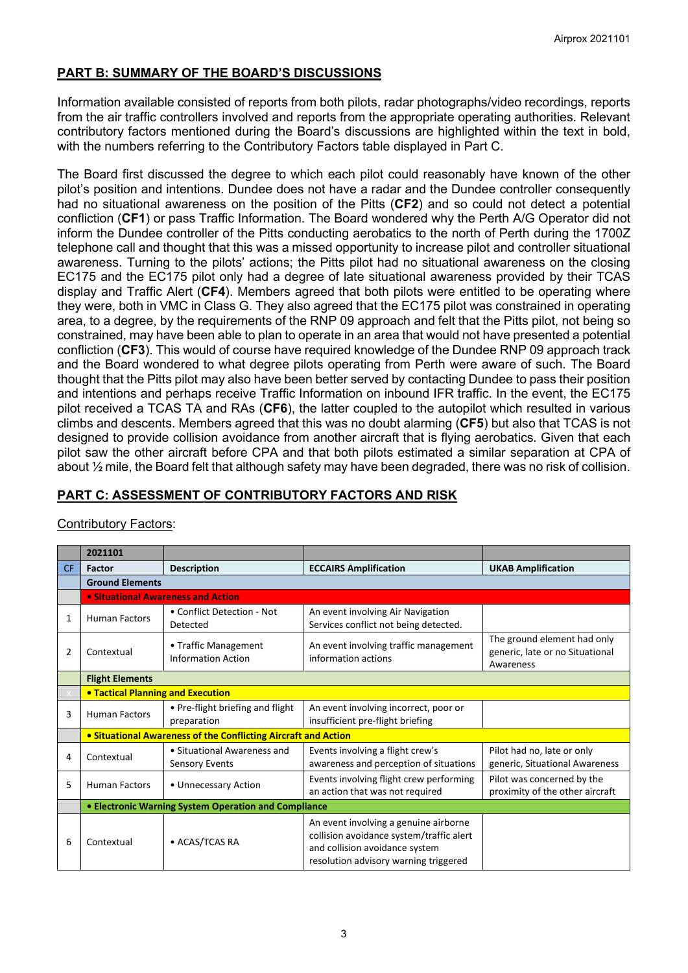# **PART B: SUMMARY OF THE BOARD'S DISCUSSIONS**

Information available consisted of reports from both pilots, radar photographs/video recordings, reports from the air traffic controllers involved and reports from the appropriate operating authorities. Relevant contributory factors mentioned during the Board's discussions are highlighted within the text in bold, with the numbers referring to the Contributory Factors table displayed in Part C.

The Board first discussed the degree to which each pilot could reasonably have known of the other pilot's position and intentions. Dundee does not have a radar and the Dundee controller consequently had no situational awareness on the position of the Pitts (**CF2**) and so could not detect a potential confliction (**CF1**) or pass Traffic Information. The Board wondered why the Perth A/G Operator did not inform the Dundee controller of the Pitts conducting aerobatics to the north of Perth during the 1700Z telephone call and thought that this was a missed opportunity to increase pilot and controller situational awareness. Turning to the pilots' actions; the Pitts pilot had no situational awareness on the closing EC175 and the EC175 pilot only had a degree of late situational awareness provided by their TCAS display and Traffic Alert (**CF4**). Members agreed that both pilots were entitled to be operating where they were, both in VMC in Class G. They also agreed that the EC175 pilot was constrained in operating area, to a degree, by the requirements of the RNP 09 approach and felt that the Pitts pilot, not being so constrained, may have been able to plan to operate in an area that would not have presented a potential confliction (**CF3**). This would of course have required knowledge of the Dundee RNP 09 approach track and the Board wondered to what degree pilots operating from Perth were aware of such. The Board thought that the Pitts pilot may also have been better served by contacting Dundee to pass their position and intentions and perhaps receive Traffic Information on inbound IFR traffic. In the event, the EC175 pilot received a TCAS TA and RAs (**CF6**), the latter coupled to the autopilot which resulted in various climbs and descents. Members agreed that this was no doubt alarming (**CF5**) but also that TCAS is not designed to provide collision avoidance from another aircraft that is flying aerobatics. Given that each pilot saw the other aircraft before CPA and that both pilots estimated a similar separation at CPA of about  $\frac{1}{2}$  mile, the Board felt that although safety may have been degraded, there was no risk of collision.

# **PART C: ASSESSMENT OF CONTRIBUTORY FACTORS AND RISK**

|           | 2021101                                                        |                                                   |                                                                                                                                                              |                                                                             |  |  |  |
|-----------|----------------------------------------------------------------|---------------------------------------------------|--------------------------------------------------------------------------------------------------------------------------------------------------------------|-----------------------------------------------------------------------------|--|--|--|
| <b>CF</b> | Factor                                                         | <b>Description</b>                                | <b>ECCAIRS Amplification</b>                                                                                                                                 | <b>UKAB Amplification</b>                                                   |  |  |  |
|           | <b>Ground Elements</b>                                         |                                                   |                                                                                                                                                              |                                                                             |  |  |  |
|           | • Situational Awareness and Action                             |                                                   |                                                                                                                                                              |                                                                             |  |  |  |
| 1         | <b>Human Factors</b>                                           | • Conflict Detection - Not<br>Detected            | An event involving Air Navigation<br>Services conflict not being detected.                                                                                   |                                                                             |  |  |  |
| 2         | Contextual                                                     | • Traffic Management<br><b>Information Action</b> | An event involving traffic management<br>information actions                                                                                                 | The ground element had only<br>generic, late or no Situational<br>Awareness |  |  |  |
|           | <b>Flight Elements</b>                                         |                                                   |                                                                                                                                                              |                                                                             |  |  |  |
|           | <b>. Tactical Planning and Execution</b>                       |                                                   |                                                                                                                                                              |                                                                             |  |  |  |
| 3         | <b>Human Factors</b>                                           | • Pre-flight briefing and flight<br>preparation   | An event involving incorrect, poor or<br>insufficient pre-flight briefing                                                                                    |                                                                             |  |  |  |
|           | • Situational Awareness of the Conflicting Aircraft and Action |                                                   |                                                                                                                                                              |                                                                             |  |  |  |
| 4         | Contextual                                                     | • Situational Awareness and<br>Sensory Events     | Events involving a flight crew's<br>awareness and perception of situations                                                                                   | Pilot had no, late or only<br>generic, Situational Awareness                |  |  |  |
| 5         | <b>Human Factors</b>                                           | • Unnecessary Action                              | Events involving flight crew performing<br>an action that was not required                                                                                   | Pilot was concerned by the<br>proximity of the other aircraft               |  |  |  |
|           | • Electronic Warning System Operation and Compliance           |                                                   |                                                                                                                                                              |                                                                             |  |  |  |
| 6         | Contextual                                                     | • ACAS/TCAS RA                                    | An event involving a genuine airborne<br>collision avoidance system/traffic alert<br>and collision avoidance system<br>resolution advisory warning triggered |                                                                             |  |  |  |

## Contributory Factors: